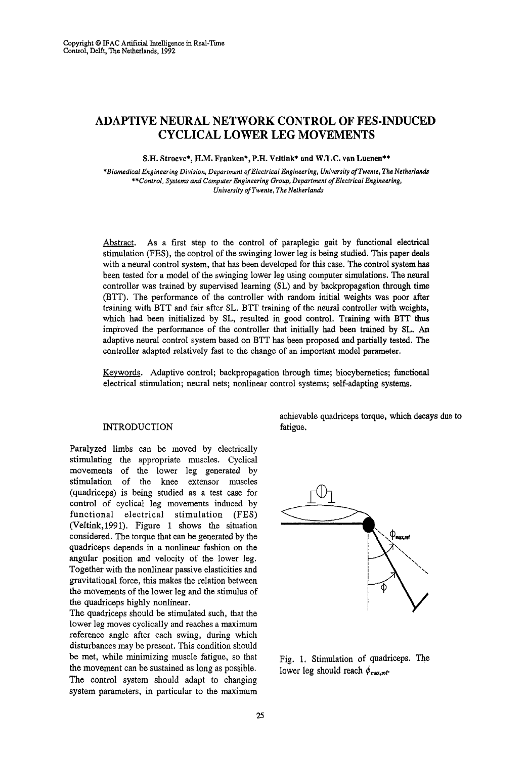# **ADAPTIVE NEURAL NETWORK CONTROL OF FES·INDUCED CYCLICAL LOWER LEG MOVEMENTS**

S.H. Stroeve\*, H.M. Franken\*, P.H. Veltink\* and W.T.C. van Luenen\*\*

*\*BiomedicalEngineeringDivision,Department of Electrical Engineering, University ofTwente, TheNetherlands \*\*Control,Systemsand ComputerEngineering Group, Department of ElectricalEngineering, University of Twente, The Netherlands* 

Abstract. As a first step to the control of paraplegic gait by functional electrical stimulation (FES), the control of the swinging lower leg is being studied. This paper deals with a neural control system, that has been developed for this case. The control system has been tested for a model of the swinging lower leg using computer simulations. The neural controller was trained by supervised learning (SL) and by backpropagation through time (BTT). The performance of the controller with random initial weights was poor after training with BTT and fair after SL. BTT training of the neural controller with weights, which had been initialized by SL, resulted in good control. Training with BIT thus improved the performance of the controller that initially had been trained by SL. An adaptive neural control system based on BTT has been proposed and partially tested. The controller adapted relatively fast to the change of an important model parameter.

Keywords. Adaptive control; backpropagation through time; biocybemetics; functional electrical stimulation; neural nets; nonlinear control systems; self-adapting systems.

## INTRODUCTION

Paralyzed limbs can be moved by electrically stimulating the appropriate muscles. Cyclical movements of the lower leg generated by stimulation of the knee extensor muscles (quadriceps) is being studied as a test case for control of cyclical leg movements induced by functional electrical stimulation (FES) (Veltink,1991). Figure 1 shows the situation considered. The torque that can be generated by the quadriceps depends in a nonlinear fashion on the angular position and velocity of the lower leg. Together with the nonlinear passive elasticities and gravitational force, this makes the relation between the movements of the lower leg and the stimulus of the quadriceps highly nonlinear.

The quadriceps should be stimulated such, that the lower leg moves cyclically and reaches a maximum reference angle after each swing, during which disturbances may be present. This condition should be met, while minimizing muscle fatigue, so that the movement can be sustained as long as possible. The control system should adapt to changing system parameters, in particular to the maximum achievable quadriceps torque, which decays due to fatigue.



Fig. 1. Stimulation of quadriceps. The lower leg should reach  $\phi_{\text{max,ref}}$ .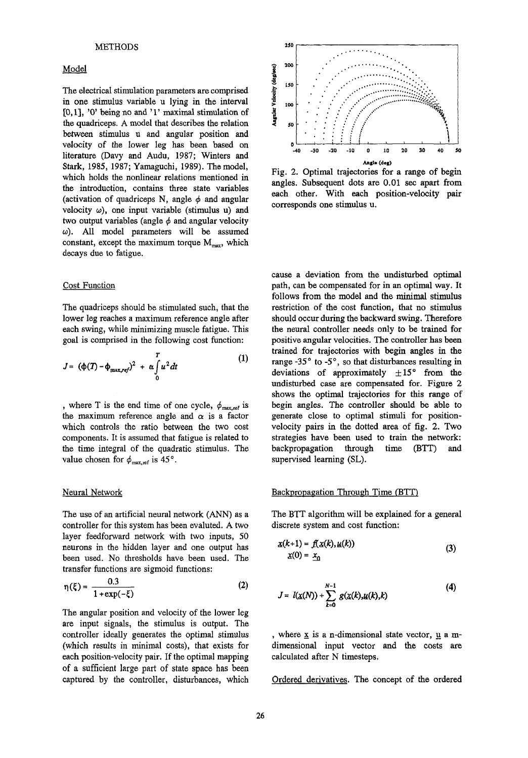## METHODS

### Model

The electrical stimulation parameters are comprised in one stimulus variable u lying in the interval [0,1], '0' being no and '1' maximal stimulation of the quadriceps. A model that describes the relation between stimulus u and angular position and velocity of the lower leg has been based on literature (Davy and Audu, 1987; Winters and Stark, 1985, 1987; Yamaguchi, 1989). The model, which holds the nonlinear relations mentioned in the introduction, contains three state variables (activation of quadriceps N, angle  $\phi$  and angular velocity  $\omega$ ), one input variable (stimulus u) and two output variables (angle  $\phi$  and angular velocity *w).* All model parameters will be assumed constant, except the maximum torque  $M_{\text{max}}$ , which decays due to fatigue.

#### Cost Function

The quadriceps should be stimulated such, that the lower leg reaches a maximum reference angle after each swing, while minimizing muscle fatigue. This goal is comprised in the following cost function:

$$
J = (\phi(T) - \phi_{\text{max,ref}})^2 + \alpha \int_0^T u^2 dt \tag{1}
$$

, where T is the end time of one cycle,  $\phi_{\text{max,ref}}$  is the maximum reference angle and  $\alpha$  is a factor which controls the ratio between the two cost components. It is assumed that fatigue is related to the time integral of the quadratic stimulus. The value chosen for  $\phi_{\text{max,ref}}$  is 45°.

The use of an artificial neural network (ANN) as a controller for this system has been evaluted. A two layer feedforward network with two inputs, 50 neurons in the hidden layer and one output has been used. No thresholds have been used. The transfer functions are sigmoid functions:

$$
\eta(\xi) = \frac{0.3}{1 + \exp(-\xi)}\tag{2}
$$

The angular position and velocity of the lower leg are input signals, the stimulus is output. The controller ideally generates the optimal stimulus (which results in minimal costs), that exists for each position-velocity pair. If the optimal mapping of a sufficient large part of state space has been captured by the controller, disturbances, which



Fig. 2. Optimal trajectories for a range of begin angles. Subsequent dots are 0.01 sec apart from each other. With each position-velocity pair corresponds one stimulus u.

cause a deviation from the undisturbed optimal path, can be compensated for in an optimal way. It follows from the model and the minimal stimulus restriction of the cost function, that no stimulus should occur during the backward swing. Therefore the neural controller needs only to be trained for positive angular velocities. The controller has been trained for trajectories with begin angles in the range  $-35^\circ$  to  $-5^\circ$ , so that disturbances resulting in deviations of approximately  $\pm 15^{\circ}$  from the undisturbed case are compensated for. Figure 2 shows the optimal trajectories for this range of begin angles. The controller should be able to generate close to optimal stimuli for positionvelocity pairs in the dotted area of fig. 2. Two strategies have been used to train the network: backpropagation through time (BTT) and supervised learning (SL).

#### Neural Network **Backpropagation Through Time (BTT)** Backpropagation Through Time (BTT)

The BTT algorithm will be explained for a general discrete system and cost function:

$$
\mathbf{x}(k+1) = f(\mathbf{x}(k), \mathbf{u}(k))
$$
  
\n
$$
\mathbf{x}(0) = \mathbf{x}_0
$$
 (3)

$$
J = l(\chi(N)) + \sum_{k=0}^{N-1} g(\chi(k), \mu(k), k) \tag{4}
$$

, where  $\underline{x}$  is a n-dimensional state vector,  $\underline{u}$  a mdimensional input vector and the costs are calculated after N timesteps.

Ordered derivatives. The concept of the ordered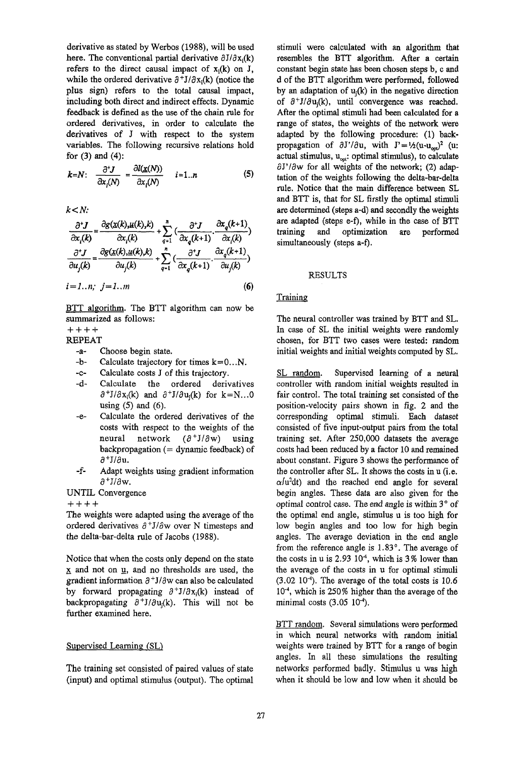derivative as stated by Werbos (1988), will be used here. The conventional partial derivative  $\partial J/\partial x_i(k)$ refers to the direct causal impact of  $x_i(k)$  on J, while the ordered derivative  $\partial^+ J/\partial x_i(k)$  (notice the plus sign) refers to the total causal impact, including both direct and indirect effects. Dynamic feedback is defined as the use of the chain rule for ordered derivatives, in order to calculate the derivatives of J with respect to the system variables. The following recursive relations hold for (3) and (4):

$$
k = N: \quad \frac{\partial^* J}{\partial x_i(N)} = \frac{\partial l(\underline{x}(N))}{\partial x_i(N)} \qquad i = 1..n \tag{5}
$$

*k<N:*

$$
k < N:
$$
\n
$$
\frac{\partial^* J}{\partial x_i(k)} = \frac{\partial g(x(k), \mu(k), k)}{\partial x_i(k)} + \sum_{q=1}^n \left( \frac{\partial^* J}{\partial x_q(k+1)} \cdot \frac{\partial x_q(k+1)}{\partial x_i(k)} \right)
$$
\n
$$
\frac{\partial^* J}{\partial u_j(k)} = \frac{\partial g(x(k), \mu(k), k)}{\partial u_j(k)} + \sum_{q=1}^n \left( \frac{\partial^* J}{\partial x_q(k+1)} \cdot \frac{\partial x_q(k+1)}{\partial u_j(k)} \right)
$$
\n
$$
i = 1...n; \quad j = 1...m \tag{6}
$$

BTT algorithm. The BTT algorithm can now be summarized as follows:

++++

REPEAT

- -a- Choose begin state.
- $-b$  Calculate trajectory for times  $k=0...N$ .
- -c- Calculate costs J of this trajectory.
- -d- Calculate the ordered derivatives  $\partial^+ J/\partial x_i(k)$  and  $\partial^+ J/\partial u_i(k)$  for k=N...0 using (5) and (6).
- -e- Calculate the ordered derivatives of the costs with respect to the weights of the neural network *(8+JI8w)* using  $\text{backpropagation} (= \text{dynamic feedback}) \text{ of}$  $\partial^+ J/\partial u$ .
- **-f-** Adapt weights using gradient information *8+Jl8w.*

UNTIL Convergence

++++

The weights were adapted using the average of the ordered derivatives  $\partial^+ J/\partial w$  over N timesteps and the delta-bar-delta rule of Jacobs (1988).

Notice that when the costs only depend on the state  $x$  and not on  $y$ , and no thresholds are used, the gradient information  $\partial^+ J/\partial w$  can also be calculated by forward propagating  $\partial^+J/\partial x_i(k)$  instead of backpropagating  $\partial^+ J/\partial u_i(k)$ . This will not be further examined here.

## Supervised Learning (SL)

The training set consisted of paired values of state (input) and optimal stimulus (output). The optimal stimuli were calculated with an algorithm that resembles the BIT algorithm. After a certain constant begin state has been chosen steps b, c and d of the BIT algorithm were performed, followed by an adaptation of  $u_i(k)$  in the negative direction of  $\partial^+J/\partial u_i(k)$ , until convergence was reached. After the optimal stimuli had been calculated for a range of states, the weights of the network were adapted by the following procedure: (1) backpropagation of  $\partial J'/\partial u$ , with  $J' = \frac{1}{2}(u-u_{\text{out}})^2$  (u: actual stimulus,  $u_{\text{out}}$ ; optimal stimulus), to calculate *aJ'law* for all weights of the network; (2) adaptation of the weights following the delta-bar-delta rule. Notice that the main difference between SL and BIT is, that for SL firstly the optimal stimuli are determined (steps a-d) and secondly the weights are adapted (steps e-f), while in the case of BIT training and optimization are performed simultaneously (steps a-f),

#### RESULTS

## **Training**

The neural controller was trained by BTT and SL. In case of SL the initial weights were randomly chosen, for BTT two cases were tested: random initial weights and initial weights computed by SL.

SL random. Supervised learning of a neural controller with random initial weights resulted in fair control. The total training set consisted of the position-velocity pairs shown in fig. 2 and the corresponding optimal stimuli. Each dataset consisted of five input-output pairs from the total training set. After 250,000 datasets the average costs had been reduced by a factor 10 and remained about constant. Figure 3 shows the performance of the controller after SL. It shows the costs in u (i.e.  $\alpha$ /u<sup>2</sup>dt) and the reached end angle for several begin angles. These data are also given for the optimal control case. The end angle is within  $3°$  of the optimal end angle, stimulus u is too high for low begin angles and too low for high begin angles. The average deviation in the end angle from the reference angle is  $1.83^\circ$ . The average of the costs in u is  $2.93 \times 10^{-4}$ , which is 3% lower than the average of the costs in u for optimal stimuli  $(3.02 \ 10^4)$ . The average of the total costs is 10.6 10<sup>-4</sup>, which is 250% higher than the average of the minimal costs  $(3.05 \ 10^{-4})$ .

BTT random. Several simulations were performed in which neural networks with random initial weights were trained by BTT for a range of begin angles. In all these simulations the resulting networks performed badly. Stimulus u was high when it should be low and low when it should be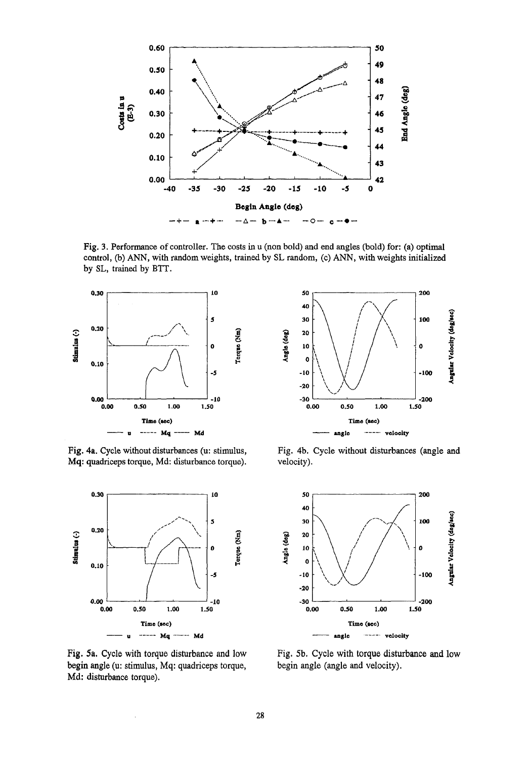

Fig. 3. Performance of controller. The costs in u (non bold) and end angles (bold) for: (a) optimal control, (b) ANN, with random weights, trained by SL random, (c) ANN, with weights initialized by SL, trained by BTT.



Fig. 4a. Cycle without disturbances (u: stimulus, Mq: quadriceps torque, Md: disturbance torque).



Fig. 5a. Cycle with torque disturbance and low begin angle (u: stimulus, Mq: quadriceps torque, Md: disturbance torque).

 $\cdot$ 



Fig. 4b. Cycle without disturbances (angle and velocity).



Fig. 5b. Cycle with torque disturbance and low begin angle (angle and velocity).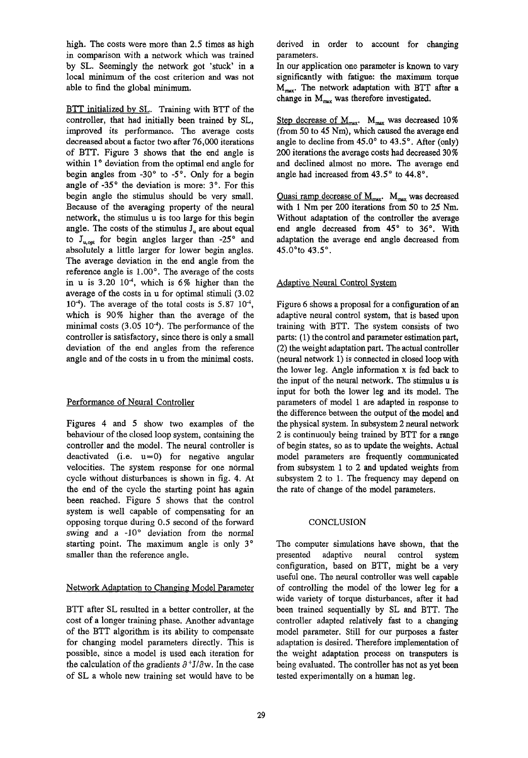high. The costs were more than 2.5 times as high in comparison with a network which was trained by SL. Seemingly the network got 'stuck' in a local minimum of the cost criterion and was not able to find the global minimum.

BTT initialized by SL. Training with BTT of the controller, that had initially been trained by SL, improved its performance. The average costs decreased about a factor two after 76,000 iterations of BTT. Figure 3 shows that the end angle is within 1° deviation from the optimal end angle for begin angles from *-30°* to *-5°.* Only for a begin angle of -35° the deviation is more: 3°. For this begin angle the stimulus should be very small. Because of the averaging property of the neural network, the stimulus u is too large for this begin angle. The costs of the stimulus  $J_u$  are about equal to J<sub>u,opi</sub> for begin angles larger than -25° and absolutely a little larger for lower begin angles. The average deviation in the end angle from the reference angle is *1.00°.* The average of the costs in u is 3.20  $10^{-4}$ , which is 6% higher than the average of the costs in u for optimal stimuli (3.02 10<sup>-4</sup>). The average of the total costs is 5.87  $10^{-4}$ , which is 90% higher than the average of the minimal costs  $(3.05 \ 10^{-4})$ . The performance of the controller is satisfactory, since there is only a small deviation of the end angles from the reference angle and of the costs in u from the minimal costs.

## Performance of Neural Controller

Figures 4 and 5 show two examples of the behaviour of the closed loop system, containing the controller and the model. The neural controller is deactivated (i.e.  $u=0$ ) for negative angular velocities. The system response for one normal cycle without disturbances is shown in fig. 4. At the end of the cycle the starting point has again been reached. Figure 5 shows that the control system is well capable of compensating for an opposing torque during 0.5 second of the forward swing and a -10° deviation from the normal starting point. The maximum angle is only 3° smaller than the reference angle.

## Network Adaptation to Changing Model Parameter

BTT after SL resulted in a better controller, at the cost of a longer training phase. Another advantage of the BTT algorithm is its ability to compensate for changing model parameters directly. This is possible, since a model is used each iteration for the calculation of the gradients  $\partial^+ J/\partial w$ . In the case of SL a whole new training set would have to be

derived in order to account for changing parameters.

In our application one parameter is known to vary significantly with fatigue: the maximum torque  $M_{\text{max}}$ . The network adaptation with BTT after a change in  $M_{\text{max}}$  was therefore investigated.

Step decrease of  $M_{\text{max}}$ .  $M_{\text{max}}$  was decreased 10% (from 50 to 45 Nm), which caused the average end angle to decline from *45.0°* to *43.5°.* After (only) 200 iterations the average costs had decreased 30% and declined almost no more. The average end angle had increased from *43.5°* to *44.8°.*

Quasi ramp decrease of  $M_{\text{max}}$ .  $M_{\text{max}}$  was decreased with 1 Nm per 200 iterations from SO to 25 Nm. Without adaptation of the controller the average end angle decreased from 45° to 36°. With adaptation the average end angle decreased from 45.00to *43.5°.*

## Adaptive Neural Control System

Figure 6 shows a proposal for a configuration of an adaptive neural control system, that is based upon training with BTT. The system consists of two parts: (1) the control and parameter estimation part, (2) the weight adaptation part. The actual controller (neural network 1) is connected in closed loop with the lower leg. Angle information x is fed back to the input of the neural network. The stimulus u is input for both the lower leg and its model. The parameters of model 1 are adapted in response to the difference between the output of the model and the physical system. In subsystem 2 neural network 2 is continuouly being trained by BTT for a range of begin states, so as to update the weights. Actual model parameters are frequently communicated from subsystem 1 to 2 and updated weights from subsystem 2 to 1. The frequency may depend on the rate of change of the model parameters.

## **CONCLUSION**

The computer simulations have shown, that the presented adaptive neural control system configuration, based on BIT, might be a very useful one. The neural controller was well capable of controlling the model of the lower leg for a wide variety of torque disturbances, after it had been trained sequentially by SL and BTT. The controller adapted relatively fast to a changing model parameter. Still for our purposes a faster adaptation is desired. Therefore implementation of the weight adaptation process on transputers is being evaluated. The controller has not as yet been tested experimentally on a human leg.